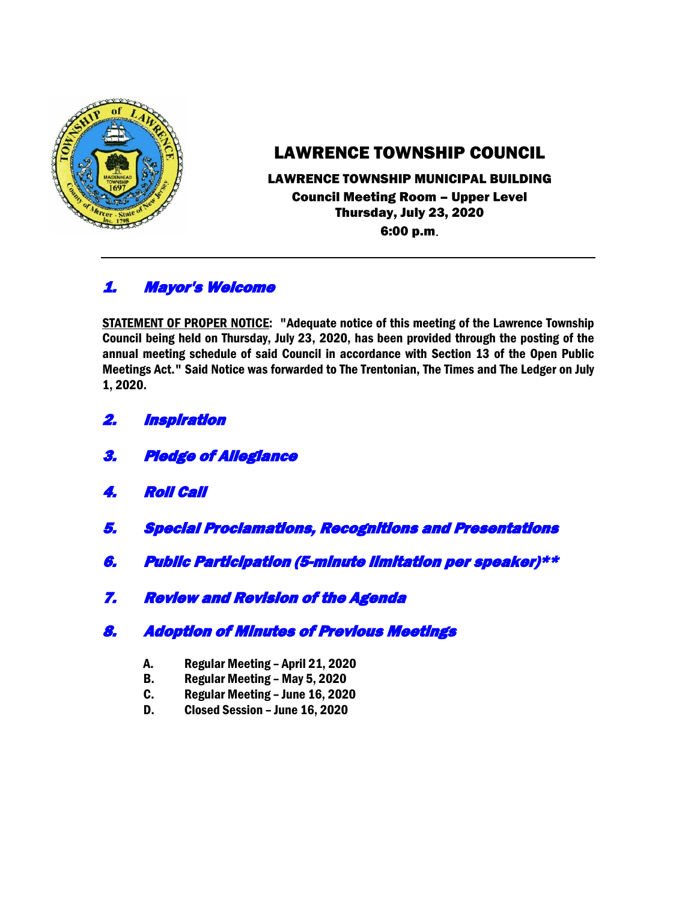

# LAWRENCE TOWNSHIP COUNCIL

## LAWRENCE TOWNSHIP MUNICIPAL BUILDING Council Meeting Room – Upper Level Thursday, July 23, 2020 6:00 p.m.

# 1. Mayor's Welcome

STATEMENT OF PROPER NOTICE: "Adequate notice of this meeting of the Lawrence Township Council being held on Thursday, July 23, 2020, has been provided through the posting of the annual meeting schedule of said Council in accordance with Section 13 of the Open Public Meetings Act." Said Notice was forwarded to The Trentonian, The Times and The Ledger on July 1, 2020.

- 2. Inspiration
- 3. Pledge of Allegiance
- 4. Roll Call
- 5. Special Proclamations, Recognitions and Presentations
- 6. Public Participation (5-minute limitation per speaker)\*\*
- 7. Review and Revision of the Agenda

# 8. Adoption of Minutes of Previous Meetings

- A. Regular Meeting April 21, 2020
- B. Regular Meeting May 5, 2020
- C. Regular Meeting June 16, 2020
- D. Closed Session June 16, 2020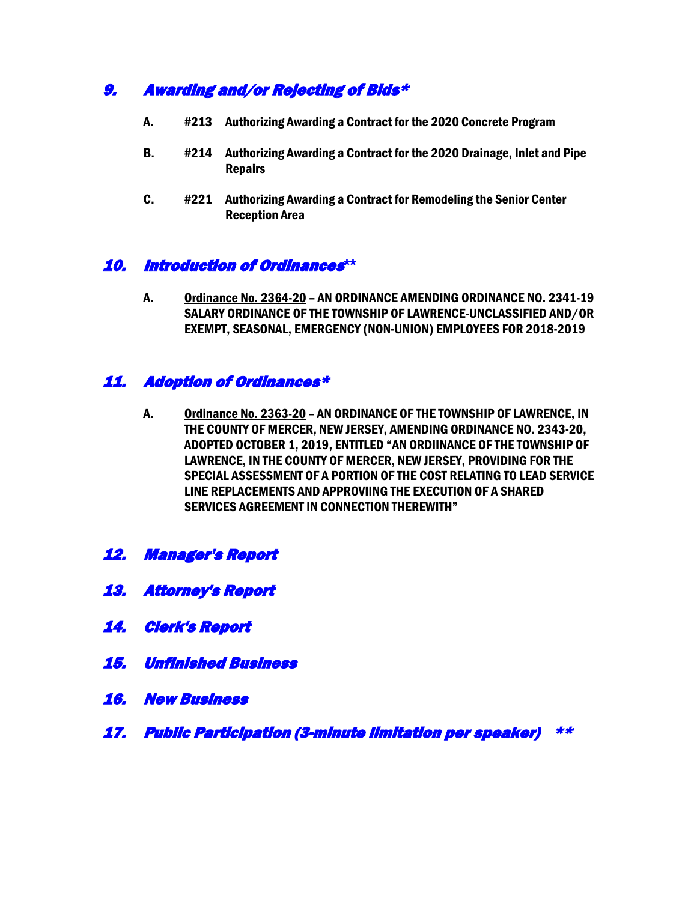# 9. Awarding and/or Rejecting of Bids\*

- A. #213 Authorizing Awarding a Contract for the 2020 Concrete Program
- B. #214 Authorizing Awarding a Contract for the 2020 Drainage, Inlet and Pipe Repairs
- C. #221 Authorizing Awarding a Contract for Remodeling the Senior Center Reception Area

#### 10. Introduction of Ordinances**\*\***

A. Ordinance No. 2364-20 – AN ORDINANCE AMENDING ORDINANCE NO. 2341-19 SALARY ORDINANCE OF THE TOWNSHIP OF LAWRENCE-UNCLASSIFIED AND/OR EXEMPT, SEASONAL, EMERGENCY (NON-UNION) EMPLOYEES FOR 2018-2019

### 11. Adoption of Ordinances\*

- A. Ordinance No. 2363-20 AN ORDINANCE OF THE TOWNSHIP OF LAWRENCE, IN THE COUNTY OF MERCER, NEW JERSEY, AMENDING ORDINANCE NO. 2343-20, ADOPTED OCTOBER 1, 2019, ENTITLED "AN ORDIINANCE OF THE TOWNSHIP OF LAWRENCE, IN THE COUNTY OF MERCER, NEW JERSEY, PROVIDING FOR THE SPECIAL ASSESSMENT OF A PORTION OF THE COST RELATING TO LEAD SERVICE LINE REPLACEMENTS AND APPROVIING THE EXECUTION OF A SHARED SERVICES AGREEMENT IN CONNECTION THEREWITH"
- 12. Manager's Report
- 13. Attorney's Report
- 14. Clerk's Report
- 15. Unfinished Business
- 16. New Business
- 17. Public Participation (3-minute limitation per speaker) \*\*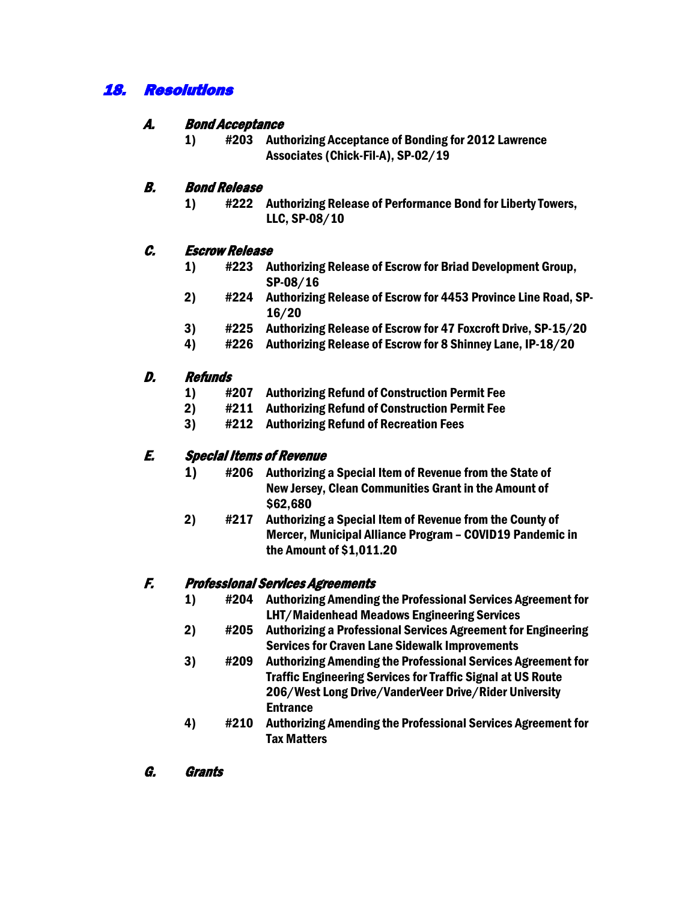# 18. Resolutions

### A. Bond Acceptance

1) #203 Authorizing Acceptance of Bonding for 2012 Lawrence Associates (Chick-Fil-A), SP-02/19

### B. Bond Release

1) #222 Authorizing Release of Performance Bond for Liberty Towers, LLC, SP-08/10

#### C. Escrow Release

- 1) #223 Authorizing Release of Escrow for Briad Development Group, SP-08/16
- 2) #224 Authorizing Release of Escrow for 4453 Province Line Road, SP-16/20
- 3) #225 Authorizing Release of Escrow for 47 Foxcroft Drive, SP-15/20
- 4) #226 Authorizing Release of Escrow for 8 Shinney Lane, IP-18/20

#### D. Refunds

- 1) #207 Authorizing Refund of Construction Permit Fee
- 2) #211 Authorizing Refund of Construction Permit Fee
- 3) #212 Authorizing Refund of Recreation Fees

## E. Special Items of Revenue

- 1) #206 Authorizing a Special Item of Revenue from the State of New Jersey, Clean Communities Grant in the Amount of \$62,680
- 2) #217 Authorizing a Special Item of Revenue from the County of Mercer, Municipal Alliance Program – COVID19 Pandemic in the Amount of \$1,011.20

#### F. Professional Services Agreements

- 1) #204 Authorizing Amending the Professional Services Agreement for LHT/Maidenhead Meadows Engineering Services
- 2) #205 Authorizing a Professional Services Agreement for Engineering Services for Craven Lane Sidewalk Improvements
- 3) #209 Authorizing Amending the Professional Services Agreement for Traffic Engineering Services for Traffic Signal at US Route 206/West Long Drive/VanderVeer Drive/Rider University Entrance
- 4) #210 Authorizing Amending the Professional Services Agreement for Tax Matters
- G. Grants